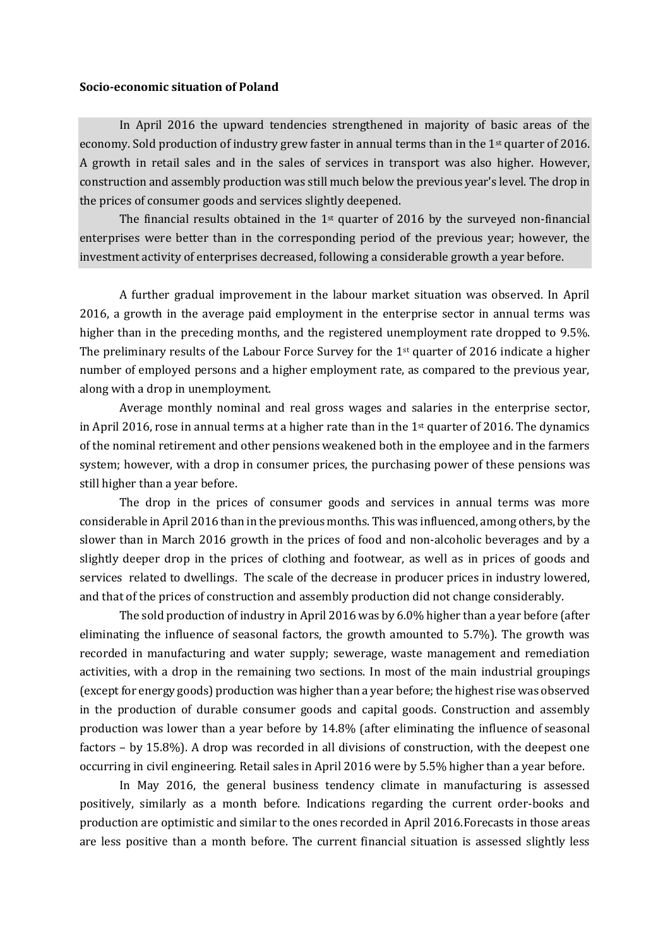## **Socio-economic situation of Poland**

In April 2016 the upward tendencies strengthened in majority of basic areas of the economy. Sold production of industry grew faster in annual terms than in the 1st quarter of 2016. A growth in retail sales and in the sales of services in transport was also higher. However, construction and assembly production was still much below the previous year's level. The drop in the prices of consumer goods and services slightly deepened.

The financial results obtained in the 1<sup>st</sup> quarter of 2016 by the surveyed non-financial enterprises were better than in the corresponding period of the previous year; however, the investment activity of enterprises decreased, following a considerable growth a year before.

A further gradual improvement in the labour market situation was observed. In April 2016, a growth in the average paid employment in the enterprise sector in annual terms was higher than in the preceding months, and the registered unemployment rate dropped to 9.5%. The preliminary results of the Labour Force Survey for the  $1<sup>st</sup>$  quarter of 2016 indicate a higher number of employed persons and a higher employment rate, as compared to the previous year, along with a drop in unemployment.

Average monthly nominal and real gross wages and salaries in the enterprise sector, in April 2016, rose in annual terms at a higher rate than in the 1st quarter of 2016. The dynamics of the nominal retirement and other pensions weakened both in the employee and in the farmers system; however, with a drop in consumer prices, the purchasing power of these pensions was still higher than a year before.

The drop in the prices of consumer goods and services in annual terms was more considerable in April 2016 than in the previous months. This was influenced, among others, by the slower than in March 2016 growth in the prices of food and non-alcoholic beverages and by a slightly deeper drop in the prices of clothing and footwear, as well as in prices of goods and services related to dwellings. The scale of the decrease in producer prices in industry lowered, and that of the prices of construction and assembly production did not change considerably.

The sold production of industry in April 2016 was by 6.0% higher than a year before (after eliminating the influence of seasonal factors, the growth amounted to 5.7%). The growth was recorded in manufacturing and water supply; sewerage, waste management and remediation activities, with a drop in the remaining two sections. In most of the main industrial groupings (except for energy goods) production was higher than a year before; the highest rise was observed in the production of durable consumer goods and capital goods. Construction and assembly production was lower than a year before by 14.8% (after eliminating the influence of seasonal factors – by 15.8%). A drop was recorded in all divisions of construction, with the deepest one occurring in civil engineering. Retail sales in April 2016 were by 5.5% higher than a year before.

In May 2016, the general business tendency climate in manufacturing is assessed positively, similarly as a month before. Indications regarding the current order-books and production are optimistic and similar to the ones recorded in April 2016.Forecasts in those areas are less positive than a month before. The current financial situation is assessed slightly less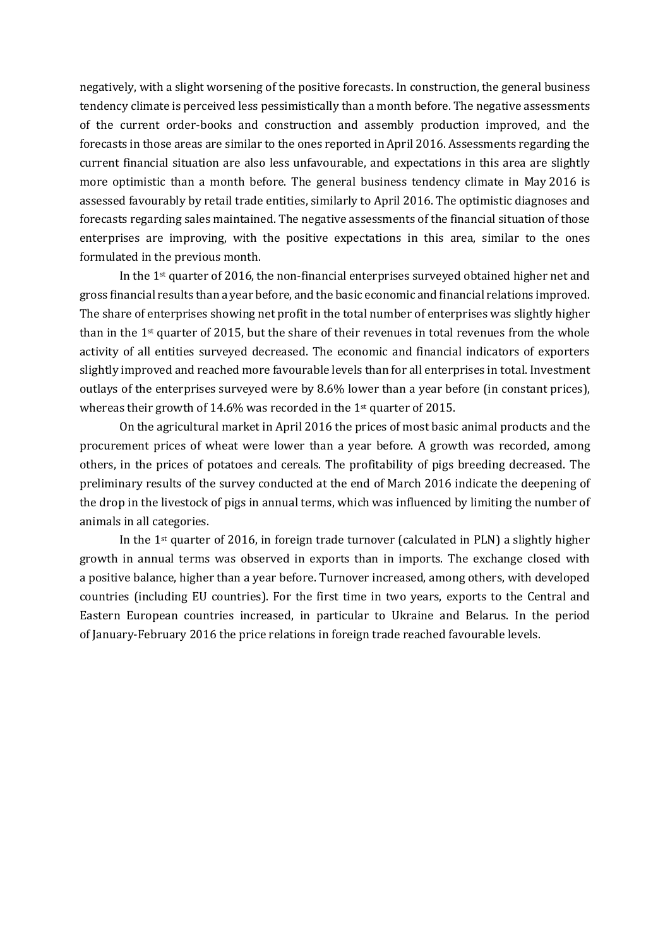negatively, with a slight worsening of the positive forecasts. In construction, the general business tendency climate is perceived less pessimistically than a month before. The negative assessments of the current order-books and construction and assembly production improved, and the forecasts in those areas are similar to the ones reported in April 2016. Assessments regarding the current financial situation are also less unfavourable, and expectations in this area are slightly more optimistic than a month before. The general business tendency climate in May 2016 is assessed favourably by retail trade entities, similarly to April 2016. The optimistic diagnoses and forecasts regarding sales maintained. The negative assessments of the financial situation of those enterprises are improving, with the positive expectations in this area, similar to the ones formulated in the previous month.

In the 1st quarter of 2016, the non-financial enterprises surveyed obtained higher net and gross financial results than a year before, and the basic economic and financial relations improved. The share of enterprises showing net profit in the total number of enterprises was slightly higher than in the  $1<sup>st</sup>$  quarter of 2015, but the share of their revenues in total revenues from the whole activity of all entities surveyed decreased. The economic and financial indicators of exporters slightly improved and reached more favourable levels than for all enterprises in total. Investment outlays of the enterprises surveyed were by 8.6% lower than a year before (in constant prices), whereas their growth of 14.6% was recorded in the 1st quarter of 2015.

On the agricultural market in April 2016 the prices of most basic animal products and the procurement prices of wheat were lower than a year before. A growth was recorded, among others, in the prices of potatoes and cereals. The profitability of pigs breeding decreased. The preliminary results of the survey conducted at the end of March 2016 indicate the deepening of the drop in the livestock of pigs in annual terms, which was influenced by limiting the number of animals in all categories.

In the 1st quarter of 2016, in foreign trade turnover (calculated in PLN) a slightly higher growth in annual terms was observed in exports than in imports. The exchange closed with a positive balance, higher than a year before. Turnover increased, among others, with developed countries (including EU countries). For the first time in two years, exports to the Central and Eastern European countries increased, in particular to Ukraine and Belarus. In the period of January-February 2016 the price relations in foreign trade reached favourable levels.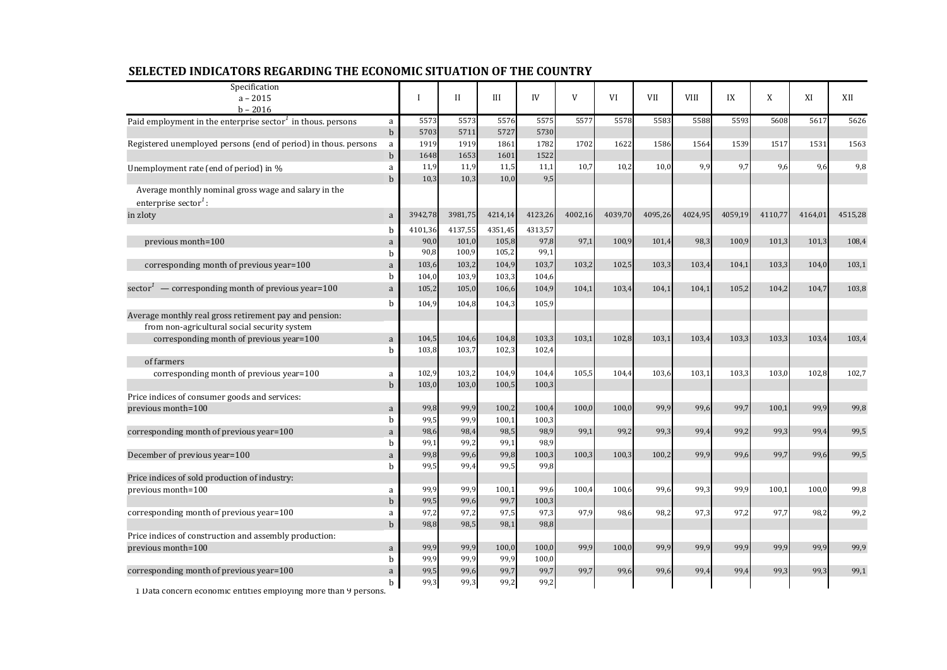| Specification<br>$a - 2015$                                                              |                  | $\mathbf I$ | H       | III     | IV      | V       | VI      | VII     | <b>VIII</b> | IX      | X       | XI      | XII     |
|------------------------------------------------------------------------------------------|------------------|-------------|---------|---------|---------|---------|---------|---------|-------------|---------|---------|---------|---------|
| $h - 2016$                                                                               |                  |             |         |         |         |         |         |         |             |         |         |         |         |
| Paid employment in the enterprise sector $1$ in thous. persons                           | a                | 5573        | 5573    | 5576    | 5575    | 5577    | 5578    | 5583    | 5588        | 5593    | 5608    | 5617    | 5626    |
|                                                                                          | $\mathbf b$      | 5703        | 5711    | 5727    | 5730    |         |         |         |             |         |         |         |         |
| Registered unemployed persons (end of period) in thous. persons                          | a                | 1919        | 1919    | 1861    | 1782    | 1702    | 1622    | 1586    | 1564        | 1539    | 1517    | 1531    | 1563    |
|                                                                                          | $\mathbf b$      | 1648        | 1653    | 1601    | 1522    |         |         |         |             |         |         |         |         |
| Unemployment rate (end of period) in %                                                   | a                | 11,9        | 11,9    | 11,5    | 11,1    | 10,7    | 10,2    | 10,0    | 9,9         | 9,7     | 9,6     | 9,6     | 9,8     |
| Average monthly nominal gross wage and salary in the<br>enterprise sector <sup>1</sup> : | $\mathbf b$      | 10,3        | 10,3    | 10,0    | 9,5     |         |         |         |             |         |         |         |         |
| in zloty                                                                                 | a                | 3942,78     | 3981,75 | 4214,14 | 4123,26 | 4002,16 | 4039,70 | 4095,26 | 4024,95     | 4059,19 | 4110,77 | 4164,01 | 4515,28 |
|                                                                                          | b                | 4101,36     | 4137,55 | 4351,45 | 4313,57 |         |         |         |             |         |         |         |         |
| previous month=100                                                                       | a                | 90,0        | 101,0   | 105,8   | 97,8    | 97,1    | 100,9   | 101,4   | 98,3        | 100,9   | 101,3   | 101,3   | 108,4   |
|                                                                                          | b                | 90,8        | 100,9   | 105,2   | 99,1    |         |         |         |             |         |         |         |         |
| corresponding month of previous year=100                                                 | a                | 103,6       | 103,2   | 104,9   | 103,7   | 103,2   | 102,5   | 103,3   | 103,4       | 104,1   | 103,3   | 104,0   | 103,1   |
|                                                                                          | b                | 104,0       | 103,9   | 103,3   | 104,6   |         |         |         |             |         |         |         |         |
| sector <sup><math>1</math></sup> — corresponding month of previous year=100              | a                | 105,2       | 105,0   | 106,6   | 104,9   | 104,1   | 103,4   | 104,1   | 104,1       | 105,2   | 104,2   | 104,7   | 103,8   |
|                                                                                          | <sub>b</sub>     | 104,9       | 104,8   | 104,3   | 105,9   |         |         |         |             |         |         |         |         |
| Average monthly real gross retirement pay and pension:                                   |                  |             |         |         |         |         |         |         |             |         |         |         |         |
| from non-agricultural social security system                                             |                  |             |         |         |         |         |         |         |             |         |         |         |         |
| corresponding month of previous year=100                                                 | a                | 104,5       | 104,6   | 104,8   | 103,3   | 103,1   | 102,8   | 103,1   | 103,4       | 103,3   | 103,3   | 103,4   | 103,4   |
|                                                                                          | b                | 103,8       | 103,7   | 102,3   | 102,4   |         |         |         |             |         |         |         |         |
| of farmers                                                                               |                  |             |         |         |         |         |         |         |             |         |         |         |         |
| corresponding month of previous year=100                                                 | a                | 102,9       | 103,2   | 104,9   | 104,4   | 105,5   | 104,4   | 103,6   | 103,1       | 103,3   | 103,0   | 102,8   | 102,7   |
|                                                                                          | $\mathbf b$      | 103,0       | 103,0   | 100,5   | 100,3   |         |         |         |             |         |         |         |         |
| Price indices of consumer goods and services:                                            |                  |             |         |         |         |         |         |         |             |         |         |         |         |
| previous month=100                                                                       | a                | 99,8        | 99,9    | 100,2   | 100,4   | 100,0   | 100,0   | 99,9    | 99,6        | 99,7    | 100,1   | 99,9    | 99,8    |
|                                                                                          | b                | 99,5        | 99,9    | 100,1   | 100,3   |         |         |         |             |         |         |         |         |
| corresponding month of previous year=100                                                 | a                | 98,6        | 98,4    | 98,5    | 98,9    | 99,1    | 99,2    | 99,3    | 99,4        | 99,2    | 99,3    | 99,4    | 99,5    |
|                                                                                          | h                | 99,1        | 99,2    | 99,1    | 98,9    |         |         |         |             |         |         |         |         |
| December of previous year=100                                                            | a                | 99,8        | 99,6    | 99,8    | 100,3   | 100,3   | 100,3   | 100,2   | 99,9        | 99,6    | 99,7    | 99,6    | 99,5    |
|                                                                                          | b                | 99,5        | 99,4    | 99,5    | 99,8    |         |         |         |             |         |         |         |         |
| Price indices of sold production of industry:<br>previous month=100                      |                  | 99,9        | 99,9    | 100,1   | 99,6    | 100,4   | 100,6   | 99,6    | 99,3        | 99,9    | 100,1   | 100,0   | 99,8    |
|                                                                                          | a<br>$\mathbf b$ | 99,5        | 99,6    | 99,7    | 100,3   |         |         |         |             |         |         |         |         |
| corresponding month of previous year=100                                                 | a                | 97,2        | 97,2    | 97,5    | 97,3    | 97,9    | 98,6    | 98,2    | 97,3        | 97,2    | 97,7    | 98,2    | 99,2    |
|                                                                                          | $\mathbf b$      | 98,8        | 98,5    | 98,1    | 98,8    |         |         |         |             |         |         |         |         |
| Price indices of construction and assembly production:                                   |                  |             |         |         |         |         |         |         |             |         |         |         |         |
| previous month=100                                                                       | $\rm{a}$         | 99,9        | 99,9    | 100,0   | 100,0   | 99,9    | 100,0   | 99,9    | 99,9        | 99,9    | 99,9    | 99,9    | 99,9    |
|                                                                                          | h                | 99,9        | 99,9    | 99,9    | 100,0   |         |         |         |             |         |         |         |         |
| corresponding month of previous year=100                                                 | a                | 99,5        | 99,6    | 99,7    | 99,7    | 99,7    | 99,6    | 99,6    | 99,4        | 99,4    | 99,3    | 99,3    | 99,1    |
| $\sim$ $\sim$ $\sim$ $\sim$ $\sim$                                                       | b                | 99,3        | 99,3    | 99,2    | 99,2    |         |         |         |             |         |         |         |         |

## **SELECTED INDICATORS REGARDING THE ECONOMIC SITUATION OF THE COUNTRY**

1 Data concern economic entities employing more than 9 persons.